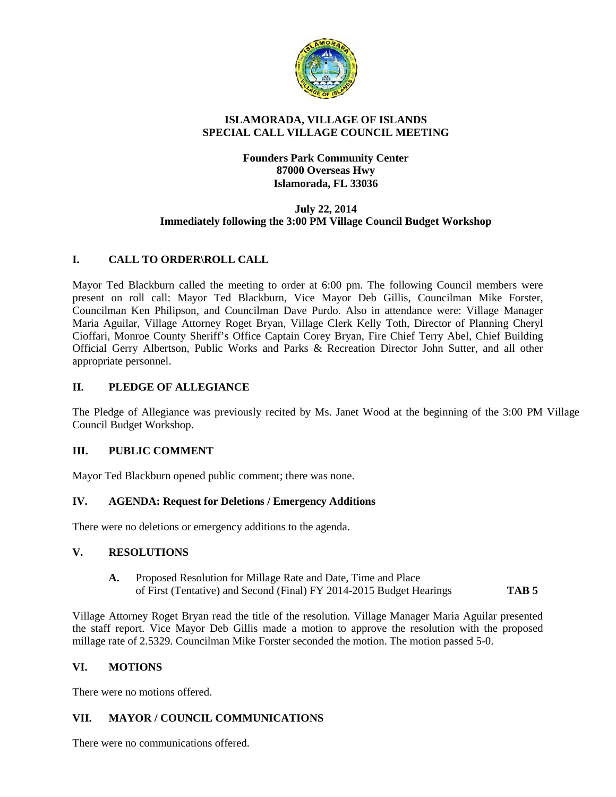

### **ISLAMORADA, VILLAGE OF ISLANDS SPECIAL CALL VILLAGE COUNCIL MEETING**

# **Founders Park Community Center 87000 Overseas Hwy Islamorada, FL 33036**

#### **July 22, 2014 Immediately following the 3:00 PM Village Council Budget Workshop**

# **I. CALL TO ORDER\ROLL CALL**

Mayor Ted Blackburn called the meeting to order at 6:00 pm. The following Council members were present on roll call: Mayor Ted Blackburn, Vice Mayor Deb Gillis, Councilman Mike Forster, Councilman Ken Philipson, and Councilman Dave Purdo. Also in attendance were: Village Manager Maria Aguilar, Village Attorney Roget Bryan, Village Clerk Kelly Toth, Director of Planning Cheryl Cioffari, Monroe County Sheriff's Office Captain Corey Bryan, Fire Chief Terry Abel, Chief Building Official Gerry Albertson, Public Works and Parks & Recreation Director John Sutter, and all other appropriate personnel.

# **II. PLEDGE OF ALLEGIANCE**

The Pledge of Allegiance was previously recited by Ms. Janet Wood at the beginning of the 3:00 PM Village Council Budget Workshop.

#### **III. PUBLIC COMMENT**

Mayor Ted Blackburn opened public comment; there was none.

#### **IV. AGENDA: Request for Deletions / Emergency Additions**

There were no deletions or emergency additions to the agenda.

#### **V. RESOLUTIONS**

**A.** Proposed Resolution for Millage Rate and Date, Time and Place of First (Tentative) and Second (Final) FY 2014-2015 Budget Hearings **TAB 5**

Village Attorney Roget Bryan read the title of the resolution. Village Manager Maria Aguilar presented the staff report. Vice Mayor Deb Gillis made a motion to approve the resolution with the proposed millage rate of 2.5329. Councilman Mike Forster seconded the motion. The motion passed 5-0.

#### **VI. MOTIONS**

There were no motions offered.

#### **VII. MAYOR / COUNCIL COMMUNICATIONS**

There were no communications offered.